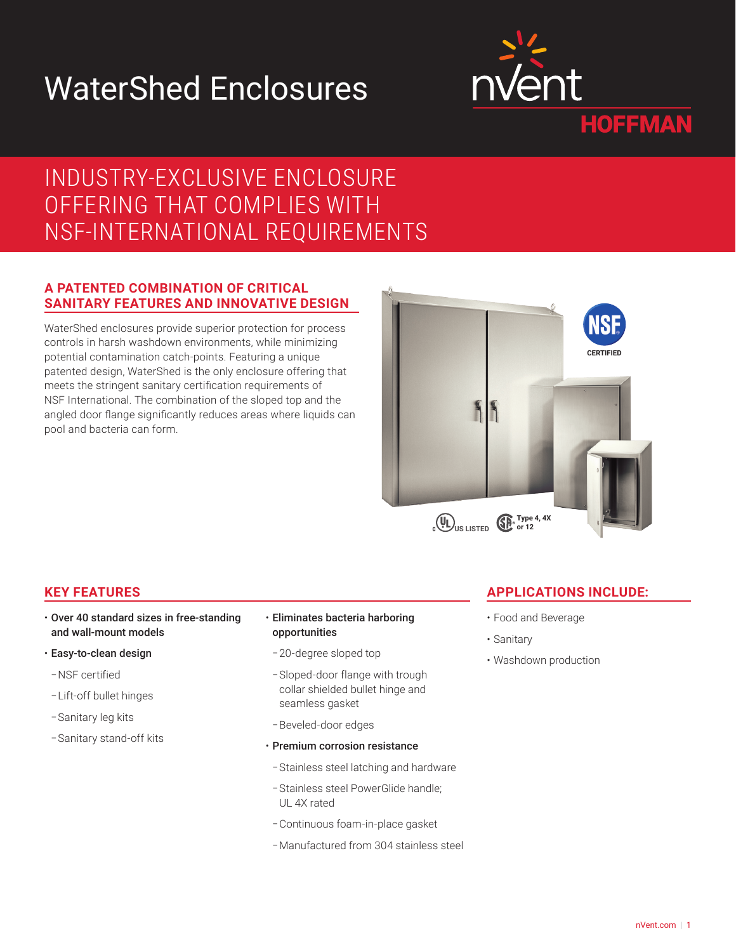# WaterShed Enclosures



# INDUSTRY-EXCLUSIVE ENCLOSURE OFFERING THAT COMPLIES WITH NSF-INTERNATIONAL REQUIREMENTS

### **A PATENTED COMBINATION OF CRITICAL SANITARY FEATURES AND INNOVATIVE DESIGN**

WaterShed enclosures provide superior protection for process controls in harsh washdown environments, while minimizing potential contamination catch-points. Featuring a unique patented design, WaterShed is the only enclosure offering that meets the stringent sanitary certification requirements of NSF International. The combination of the sloped top and the angled door flange significantly reduces areas where liquids can pool and bacteria can form.



## **KEY FEATURES**

- Over 40 standard sizes in free-standing and wall-mount models
- Easy-to-clean design
- –NSF certified
- –Lift-off bullet hinges
- –Sanitary leg kits
- –Sanitary stand-off kits
- Eliminates bacteria harboring opportunities
- –20-degree sloped top
- –Sloped-door flange with trough collar shielded bullet hinge and seamless gasket
- –Beveled-door edges
- Premium corrosion resistance
- –Stainless steel latching and hardware
- –Stainless steel PowerGlide handle; UL 4X rated
- –Continuous foam-in-place gasket
- –Manufactured from 304 stainless steel

## **APPLICATIONS INCLUDE:**

- Food and Beverage
- Sanitary
- Washdown production